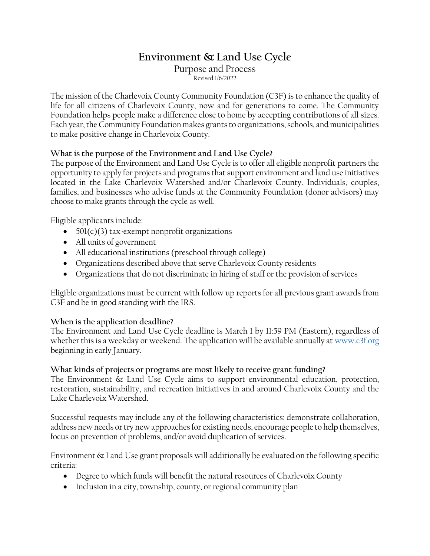# **Environment & Land Use Cycle**

Purpose and Process Revised 1/6/2022

The mission of the Charlevoix County Community Foundation (C3F) is to enhance the quality of life for all citizens of Charlevoix County, now and for generations to come. The Community Foundation helps people make a difference close to home by accepting contributions of all sizes. Each year, the Community Foundation makes grants to organizations, schools, and municipalities to make positive change in Charlevoix County.

#### **What is the purpose of the Environment and Land Use Cycle?**

The purpose of the Environment and Land Use Cycle is to offer all eligible nonprofit partners the opportunity to apply for projects and programs that support environment and land use initiatives located in the Lake Charlevoix Watershed and/or Charlevoix County. Individuals, couples, families, and businesses who advise funds at the Community Foundation (donor advisors) may choose to make grants through the cycle as well.

Eligible applicants include:

- 501(c)(3) tax-exempt nonprofit organizations
- All units of government
- All educational institutions (preschool through college)
- Organizations described above that serve Charlevoix County residents
- Organizations that do not discriminate in hiring of staff or the provision of services

Eligible organizations must be current with follow up reports for all previous grant awards from C3F and be in good standing with the IRS.

#### **When is the application deadline?**

The Environment and Land Use Cycle deadline is March 1 by 11:59 PM (Eastern), regardless of whether this is a weekday or weekend. The application will be available annually a[t www.c3f.org](http://www.c3f.org/) beginning in early January.

#### **What kinds of projects or programs are most likely to receive grant funding?**

The Environment & Land Use Cycle aims to support environmental education, protection, restoration, sustainability, and recreation initiatives in and around Charlevoix County and the Lake Charlevoix Watershed.

Successful requests may include any of the following characteristics: demonstrate collaboration, address new needs or try new approaches for existing needs, encourage people to help themselves, focus on prevention of problems, and/or avoid duplication of services.

Environment & Land Use grant proposals will additionally be evaluated on the following specific criteria:

- Degree to which funds will benefit the natural resources of Charlevoix County
- Inclusion in a city, township, county, or regional community plan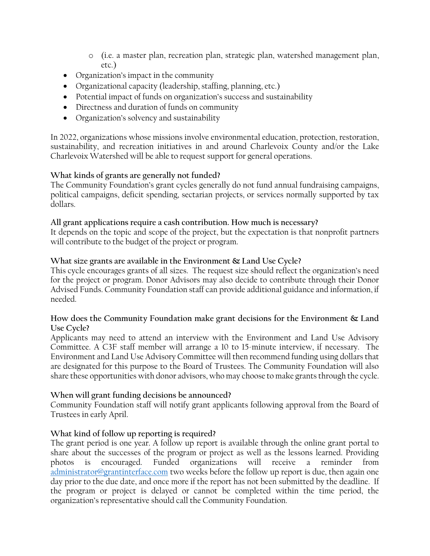- o (i.e. a master plan, recreation plan, strategic plan, watershed management plan, etc.)
- Organization's impact in the community
- Organizational capacity (leadership, staffing, planning, etc.)
- Potential impact of funds on organization's success and sustainability
- Directness and duration of funds on community
- Organization's solvency and sustainability

In 2022, organizations whose missions involve environmental education, protection, restoration, sustainability, and recreation initiatives in and around Charlevoix County and/or the Lake Charlevoix Watershed will be able to request support for general operations.

#### **What kinds of grants are generally not funded?**

The Community Foundation's grant cycles generally do not fund annual fundraising campaigns, political campaigns, deficit spending, sectarian projects, or services normally supported by tax dollars.

#### **All grant applications require a cash contribution. How much is necessary?**

It depends on the topic and scope of the project, but the expectation is that nonprofit partners will contribute to the budget of the project or program.

#### **What size grants are available in the Environment & Land Use Cycle?**

This cycle encourages grants of all sizes. The request size should reflect the organization's need for the project or program. Donor Advisors may also decide to contribute through their Donor Advised Funds. Community Foundation staff can provide additional guidance and information, if needed.

#### **How does the Community Foundation make grant decisions for the Environment & Land Use Cycle?**

Applicants may need to attend an interview with the Environment and Land Use Advisory Committee. A C3F staff member will arrange a 10 to 15-minute interview, if necessary. The Environment and Land Use Advisory Committee will then recommend funding using dollars that are designated for this purpose to the Board of Trustees. The Community Foundation will also share these opportunities with donor advisors, who may choose to make grants through the cycle.

#### **When will grant funding decisions be announced?**

Community Foundation staff will notify grant applicants following approval from the Board of Trustees in early April.

#### **What kind of follow up reporting is required?**

The grant period is one year. A follow up report is available through the online grant portal to share about the successes of the program or project as well as the lessons learned. Providing photos is encouraged. Funded organizations will receive a reminder from [administrator@grantinterface.com](mailto:administrator@grantinterface.com) two weeks before the follow up report is due, then again one day prior to the due date, and once more if the report has not been submitted by the deadline. If the program or project is delayed or cannot be completed within the time period, the organization's representative should call the Community Foundation.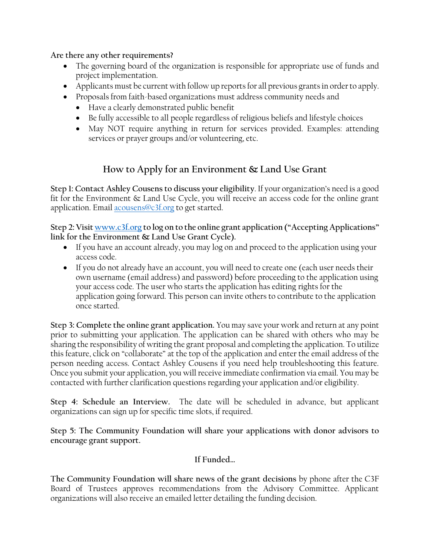**Are there any other requirements?**

- The governing board of the organization is responsible for appropriate use of funds and project implementation.
- Applicants must be current with follow up reports for all previous grants in order to apply.
- Proposals from faith-based organizations must address community needs and
	- Have a clearly demonstrated public benefit
	- Be fully accessible to all people regardless of religious beliefs and lifestyle choices
	- May NOT require anything in return for services provided. Examples: attending services or prayer groups and/or volunteering, etc.

## **How to Apply for an Environment & Land Use Grant**

**Step 1: Contact Ashley Cousens to discuss your eligibility**. If your organization's need is a good fit for the Environment & Land Use Cycle, you will receive an access code for the online grant application. Email [acousens@c3f.org](mailto:acousens@c3f.org) to get started.

**Step 2: Visit [www.c3f.org](http://www.c3f.org/) to log on to the online grant application ("Accepting Applications" link for the Environment & Land Use Grant Cycle).**

- If you have an account already, you may log on and proceed to the application using your access code.
- If you do not already have an account, you will need to create one (each user needs their own username (email address) and password) before proceeding to the application using your access code. The user who starts the application has editing rights for the application going forward. This person can invite others to contribute to the application once started.

**Step 3: Complete the online grant application.** You may save your work and return at any point prior to submitting your application. The application can be shared with others who may be sharing the responsibility of writing the grant proposal and completing the application. To utilize this feature, click on "collaborate" at the top of the application and enter the email address of the person needing access. Contact Ashley Cousens if you need help troubleshooting this feature. Once you submit your application, you will receive immediate confirmation via email. You may be contacted with further clarification questions regarding your application and/or eligibility.

**Step 4: Schedule an Interview.** The date will be scheduled in advance, but applicant organizations can sign up for specific time slots, if required.

**Step 5: The Community Foundation will share your applications with donor advisors to encourage grant support.** 

### **If Funded…**

**The Community Foundation will share news of the grant decisions** by phone after the C3F Board of Trustees approves recommendations from the Advisory Committee. Applicant organizations will also receive an emailed letter detailing the funding decision.